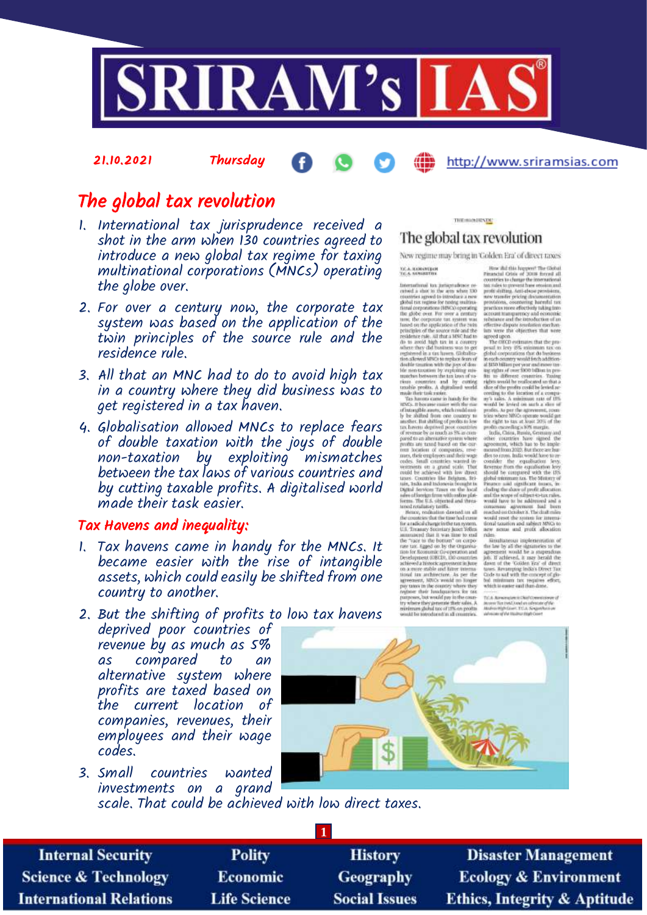

# The global tax revolution

21.10.2021 Thursday

- 1. International tax jurisprudence received a shot in the arm when 130 countries agreed to introduce a new global tax regime for taxing multinational corporations (MNCs) operating the globe over.
- 2. For over a century now, the corporate tax system was based on the application of the twin principles of the source rule and the residence rule.
- 3. All that an MNC had to do to avoid high tax in a country where they did business was to get registered in a tax haven.
- 4. Globalisation allowed MNCs to replace fears of double taxation with the joys of double non-taxation by exploiting mismatches between the tax laws of various countries and by cutting taxable profits. A digitalised world made their task easier.

### Tax Havens and inequality:

- 1. Tax havens came in handy for the MNCs. It became easier with the rise of intangible assets, which could easily be shifted from one country to another.
- 2. But the shifting of profits to low tax havens

deprived poor countries of revenue by as much as 5% as compared to an alternative system where profits are taxed based on the current location of companies, revenues, their employees and their wage codes.

3. Small countries wanted investments on a grand **FITC SCOURT CONT (CAST COVULTIENT)**<br>
New regulite may being in Colden late the state and the state and the state of direct lates.<br>
Yes, a solution of the state and the state and the state and the state and the state and

THE SOUNDER The global tax revolution

New regime may bring in Golden Era' of direct taxes

http://www.sriramsias.com



scale. That could be achieved with low direct taxes.

**Internal Security Science & Technology International Relations** 

**Polity** Economic **Life Science** 

**History Geography Social Issues** 

**1**

**Disaster Management Ecology & Environment Ethics, Integrity & Aptitude**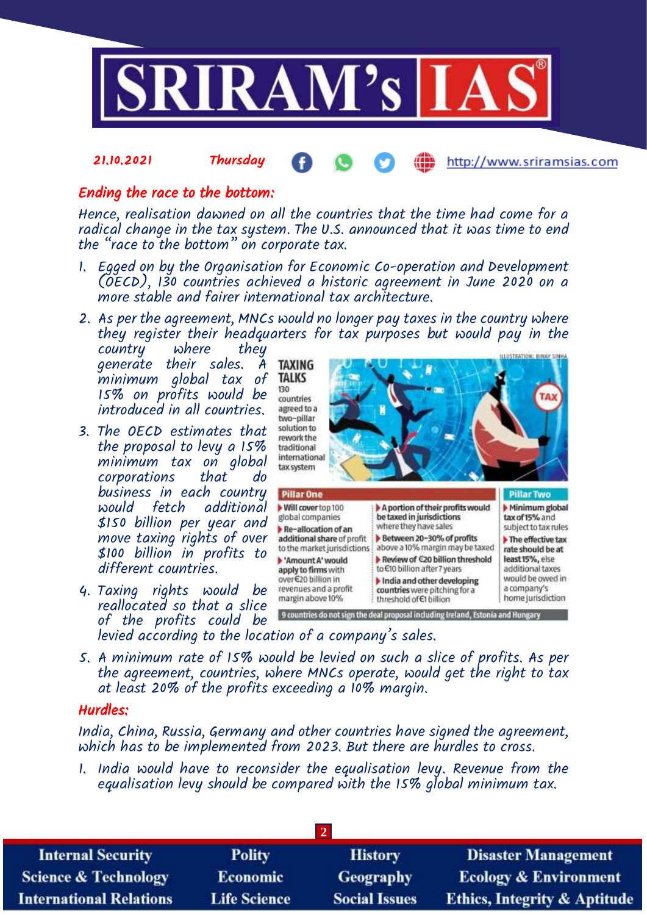

#### 21.10.2021 Thursday http://www.sriramsias.com

## Ending the race to the bottom:

Hence, realisation dawned on all the countries that the time had come for a radical change in the tax system. The U.S. announced that it was time to end the "race to the bottom" on corporate tax.

- 1. Egged on by the Organisation for Economic Co-operation and Development (OECD), 130 countries achieved a historic agreement in June 2020 on a more stable and fairer international tax architecture.
- 2. As per the agreement, MNCs would no longer pay taxes in the country where they register their headquarters for tax purposes but would pay in the

country where they generate their sales. A minimum global tax of 15% on profits would be introduced in all countries.

- 3. The OECD estimates that the proposal to levy a 15% minimum tax on global corporations that do business in each country would fetch additional \$150 billion per year and move taxing rights of over \$100 billion in profits to different countries.
- 4. Taxing rights would be revenues and a profit reallocated so that a slice of the profits could be



- levied according to the location of a company's sales.
- 5. A minimum rate of 15% would be levied on such a slice of profits. As per the agreement, countries, where MNCs operate, would get the right to tax at least 20% of the profits exceeding a 10% margin.

## Hurdles:

India, China, Russia, Germany and other countries have signed the agreement, which has to be implemented from 2023. But there are hurdles to cross.

1. India would have to reconsider the equalisation levy. Revenue from the equalisation levy should be compared with the 15% global minimum tax.

| <b>Internal Security</b>        | <b>Polity</b>       | <b>History</b>       | <b>Disaster Management</b>              |  |  |  |
|---------------------------------|---------------------|----------------------|-----------------------------------------|--|--|--|
| <b>Science &amp; Technology</b> | <b>Economic</b>     | Geography            | <b>Ecology &amp; Environment</b>        |  |  |  |
| <b>International Relations</b>  | <b>Life Science</b> | <b>Social Issues</b> | <b>Ethics, Integrity &amp; Aptitude</b> |  |  |  |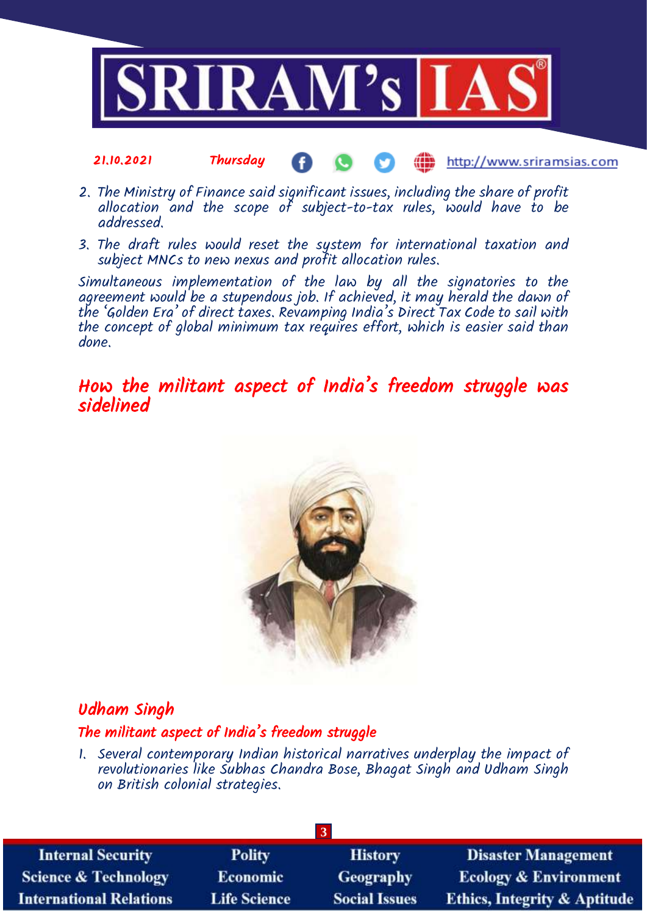

#### 21.10.2021 Thursday **(iii)** http://www.sriramsias.com

- 2. The Ministry of Finance said significant issues, including the share of profit allocation and the scope of subject-to-tax rules, would have to be addressed.
- 3. The draft rules would reset the system for international taxation and subject MNCs to new nexus and profit allocation rules.

Simultaneous implementation of the law by all the signatories to the agreement would be a stupendous job. If achieved, it may herald the dawn of the 'Golden Era' of direct taxes. Revamping India's Direct Tax Code to sail with the concept of global minimum tax requires effort, which is easier said than done.

## How the militant aspect of India's freedom struggle was sidelined



## Udham Singh

## The militant aspect of India's freedom struggle

1. Several contemporary Indian historical narratives underplay the impact of revolutionaries like Subhas Chandra Bose, Bhagat Singh and Udham Singh on British colonial strategies.

| <b>Internal Security</b>        | <b>Polity</b>       | <b>History</b>       | <b>Disaster Management</b>              |  |  |  |
|---------------------------------|---------------------|----------------------|-----------------------------------------|--|--|--|
| <b>Science &amp; Technology</b> | <b>Economic</b>     | <b>Geography</b>     | <b>Ecology &amp; Environment</b>        |  |  |  |
| <b>International Relations</b>  | <b>Life Science</b> | <b>Social Issues</b> | <b>Ethics, Integrity &amp; Aptitude</b> |  |  |  |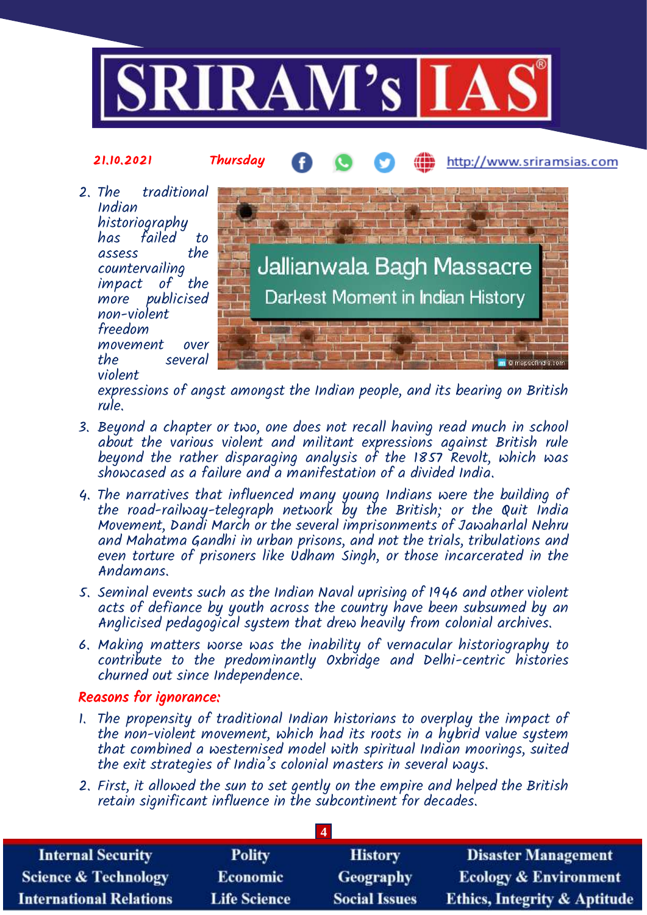



expressions of angst amongst the Indian people, and its bearing on British rule.

- 3. Beyond a chapter or two, one does not recall having read much in school about the various violent and militant expressions against British rule beyond the rather disparaging analysis of the 1857 Revolt, which was showcased as a failure and a manifestation of a divided India.
- 4. The narratives that influenced many young Indians were the building of the road-railway-telegraph network by the British; or the Quit India Movement, Dandi March or the several imprisonments of Jawaharlal Nehru and Mahatma Gandhi in urban prisons, and not the trials, tribulations and even torture of prisoners like Udham Singh, or those incarcerated in the Andamans.
- 5. Seminal events such as the Indian Naval uprising of 1946 and other violent acts of defiance by youth across the country have been subsumed by an Anglicised pedagogical system that drew heavily from colonial archives.
- 6. Making matters worse was the inability of vernacular historiography to contribute to the predominantly Oxbridge and Delhi-centric histories churned out since Independence.

## Reasons for ignorance:

- 1. The propensity of traditional Indian historians to overplay the impact of the non-violent movement, which had its roots in a hybrid value system that combined a westernised model with spiritual Indian moorings, suited the exit strategies of India's colonial masters in several ways.
- 2. First, it allowed the sun to set gently on the empire and helped the British retain significant influence in the subcontinent for decades.

**4**

| <b>Internal Security</b>        | <b>Polity</b>       | <b>History</b>       | <b>Disaster Management</b>              |  |  |  |
|---------------------------------|---------------------|----------------------|-----------------------------------------|--|--|--|
| <b>Science &amp; Technology</b> | <b>Economic</b>     | Geography            | <b>Ecology &amp; Environment</b>        |  |  |  |
| <b>International Relations</b>  | <b>Life Science</b> | <b>Social Issues</b> | <b>Ethics, Integrity &amp; Aptitude</b> |  |  |  |